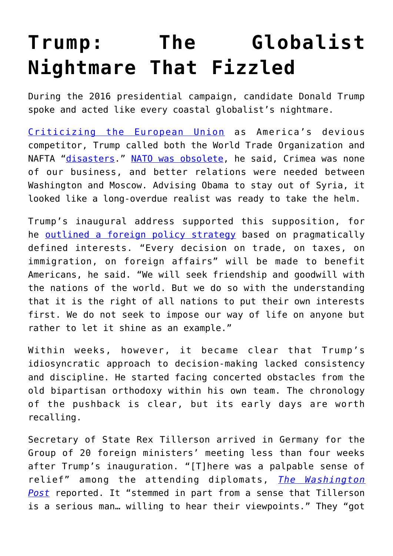## **[Trump: The Globalist](https://intellectualtakeout.org/2021/01/trump-the-globalist-nightmare-that-fizzled/) [Nightmare That Fizzled](https://intellectualtakeout.org/2021/01/trump-the-globalist-nightmare-that-fizzled/)**

During the 2016 presidential campaign, candidate Donald Trump spoke and acted like every coastal globalist's nightmare.

[Criticizing the European Union](https://www.theguardian.com/us-news/2016/jul/24/donald-trump-eu-was-formed-to-beat-the-us-at-making-money) as America's devious competitor, Trump called both the World Trade Organization and NAFTA ["disasters.](https://fortune.com/2016/07/25/donald-trump-free-trade-wto)" [NATO was obsolete,](https://www.bbc.com/news/world-us-canada-38635181) he said, Crimea was none of our business, and better relations were needed between Washington and Moscow. Advising Obama to stay out of Syria, it looked like a long-overdue realist was ready to take the helm.

Trump's inaugural address supported this supposition, for he [outlined a foreign policy strategy](https://www.npr.org/2017/01/20/510629447/watch-live-president-trumps-inauguration-ceremony) based on pragmatically defined interests. "Every decision on trade, on taxes, on immigration, on foreign affairs" will be made to benefit Americans, he said. "We will seek friendship and goodwill with the nations of the world. But we do so with the understanding that it is the right of all nations to put their own interests first. We do not seek to impose our way of life on anyone but rather to let it shine as an example."

Within weeks, however, it became clear that Trump's idiosyncratic approach to decision-making lacked consistency and discipline. He started facing concerted obstacles from the old bipartisan orthodoxy within his own team. The chronology of the pushback is clear, but its early days are worth recalling.

Secretary of State Rex Tillerson arrived in Germany for the Group of 20 foreign ministers' meeting less than four weeks after Trump's inauguration. "[T]here was a palpable sense of relief" among the attending diplomats, *[The Washington](https://www.washingtonpost.com/world/europe/tillerson-eases-concerns-over-foreign-policy-under-trump/2017/02/17/8a20acfc-f2fd-11e6-9fb1-2d8f3fc9c0ed_story.html?utm_term=.d080744b492b) [Post](https://www.washingtonpost.com/world/europe/tillerson-eases-concerns-over-foreign-policy-under-trump/2017/02/17/8a20acfc-f2fd-11e6-9fb1-2d8f3fc9c0ed_story.html?utm_term=.d080744b492b)* reported. It "stemmed in part from a sense that Tillerson is a serious man… willing to hear their viewpoints." They "got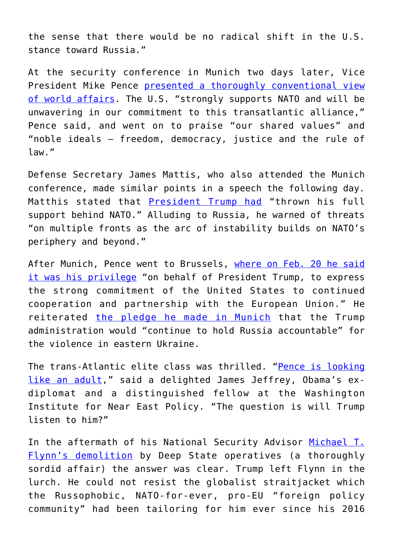the sense that there would be no radical shift in the U.S. stance toward Russia."

At the security conference in Munich two days later, Vice President Mike Pence [presented a thoroughly conventional view](https://www.c-span.org/video/?424248-1/vice-president-pence-remarks-munich-security-conference) [of world affairs](https://www.c-span.org/video/?424248-1/vice-president-pence-remarks-munich-security-conference). The U.S. "strongly supports NATO and will be unwavering in our commitment to this transatlantic alliance," Pence said, and went on to praise "our shared values" and "noble ideals – freedom, democracy, justice and the rule of law."

Defense Secretary James Mattis, who also attended the Munich conference, made similar points in a speech the following day. Matthis stated that **[President Trump had](http://www.realclearpolitics.com/video/2017/02/17/at_munich_conference_mattis_warns_of_arc_of_instability_on_natos_periphery.html)** "thrown his full support behind NATO." Alluding to Russia, he warned of threats "on multiple fronts as the arc of instability builds on NATO's periphery and beyond."

After Munich, Pence went to Brussels, [where on Feb. 20 he said](https://www.nytimes.com/2017/02/20/world/europe/pence-european-union-trump.html) [it was his privilege](https://www.nytimes.com/2017/02/20/world/europe/pence-european-union-trump.html) "on behalf of President Trump, to express the strong commitment of the United States to continued cooperation and partnership with the European Union." He reiterated [the pledge he made in Munich](https://apnews.com/article/8aedd92c8f7448dd96d9b44d537f1a21) that the Trump administration would "continue to hold Russia accountable" for the violence in eastern Ukraine.

The trans-Atlantic elite class was thrilled. ["Pence is looking](https://www.dispatch.com/news/20170217/pence-arrives-in-germany-for-meetings-with-world-leaders) [like an adult](https://www.dispatch.com/news/20170217/pence-arrives-in-germany-for-meetings-with-world-leaders)," said a delighted James Jeffrey, Obama's exdiplomat and a distinguished fellow at the Washington Institute for Near East Policy. "The question is will Trump listen to him?"

In the aftermath of his National Security Advisor [Michael T.](https://en.wikipedia.org/wiki/United_States_v._Flynn) [Flynn's demolition](https://en.wikipedia.org/wiki/United_States_v._Flynn) by Deep State operatives (a thoroughly sordid affair) the answer was clear. Trump left Flynn in the lurch. He could not resist the globalist straitjacket which the Russophobic, NATO-for-ever, pro-EU "foreign policy community" had been tailoring for him ever since his 2016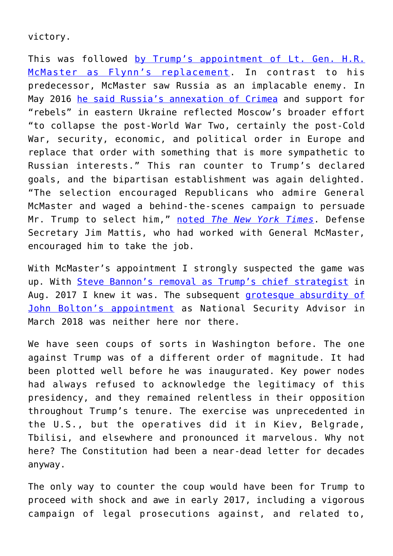victory.

This was followed [by Trump's appointment of Lt. Gen. H.R.](https://www.bbc.com/news/world-us-canada-39034452) [McMaster as Flynn's replacement](https://www.bbc.com/news/world-us-canada-39034452). In contrast to his predecessor, McMaster saw Russia as an implacable enemy. In May 2016 [he said Russia's annexation of Crimea](http://www.usnews.com/news/top-news/articles/2017-02-21/trumps-new-security-advisor-differs-from-him-on-russia-other-key-issues) and support for "rebels" in eastern Ukraine reflected Moscow's broader effort "to collapse the post-World War Two, certainly the post-Cold War, security, economic, and political order in Europe and replace that order with something that is more sympathetic to Russian interests." This ran counter to Trump's declared goals, and the bipartisan establishment was again delighted. "The selection encouraged Republicans who admire General McMaster and waged a behind-the-scenes campaign to persuade Mr. Trump to select him," [noted](https://www.nytimes.com/2017/02/20/us/politics/mcmaster-national-security-adviser-trump.html?_r=0) *[The New York Times](https://www.nytimes.com/2017/02/20/us/politics/mcmaster-national-security-adviser-trump.html?_r=0)*. Defense Secretary Jim Mattis, who had worked with General McMaster, encouraged him to take the job.

With McMaster's appointment I strongly suspected the game was up. With [Steve Bannon's removal as Trump's chief strategist](https://www.theguardian.com/us-news/2017/aug/18/steve-bannon-white-house-trump-administration) in Aug. 2017 I knew it was. The subsequent [grotesque absurdity of](https://www.chroniclesmagazine.org/article/john-boltons-long-overdue-departure) [John Bolton's appointment](https://www.chroniclesmagazine.org/article/john-boltons-long-overdue-departure) as National Security Advisor in March 2018 was neither here nor there.

We have seen coups of sorts in Washington before. The one against Trump was of a different order of magnitude. It had been plotted well before he was inaugurated. Key power nodes had always refused to acknowledge the legitimacy of this presidency, and they remained relentless in their opposition throughout Trump's tenure. The exercise was unprecedented in the U.S., but the operatives did it in Kiev, Belgrade, Tbilisi, and elsewhere and pronounced it marvelous. Why not here? The Constitution had been a near-dead letter for decades anyway.

The only way to counter the coup would have been for Trump to proceed with shock and awe in early 2017, including a vigorous campaign of legal prosecutions against, and related to,